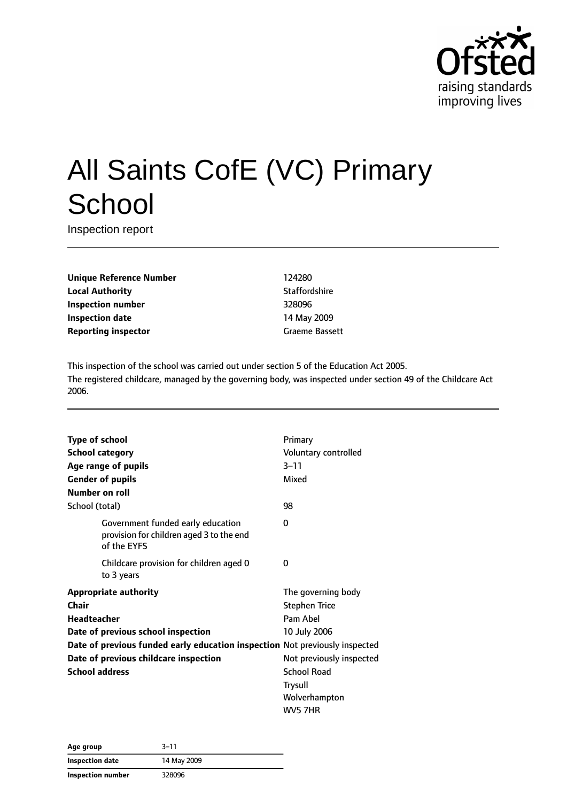

# All Saints CofE (VC) Primary **School**

Inspection report

**Unique Reference Number** 124280 **Local Authority Contract Contract Contract Authority** Staffordshire **Inspection number** 328096 **Inspection date** 14 May 2009 **Reporting inspector** Graeme Bassett

This inspection of the school was carried out under section 5 of the Education Act 2005. The registered childcare, managed by the governing body, was inspected under section 49 of the Childcare Act 2006.

| <b>Type of school</b>                                                       |                                                                                              | Primary                  |  |
|-----------------------------------------------------------------------------|----------------------------------------------------------------------------------------------|--------------------------|--|
| <b>School category</b>                                                      |                                                                                              | Voluntary controlled     |  |
|                                                                             | Age range of pupils                                                                          | $3 - 11$                 |  |
|                                                                             | <b>Gender of pupils</b>                                                                      | Mixed                    |  |
| Number on roll                                                              |                                                                                              |                          |  |
| School (total)                                                              |                                                                                              | 98                       |  |
|                                                                             | Government funded early education<br>provision for children aged 3 to the end<br>of the EYFS | 0                        |  |
|                                                                             | Childcare provision for children aged 0<br>to 3 years                                        | 0                        |  |
|                                                                             | <b>Appropriate authority</b>                                                                 | The governing body       |  |
| Chair                                                                       |                                                                                              | <b>Stephen Trice</b>     |  |
| Headteacher                                                                 |                                                                                              | Pam Ahel                 |  |
|                                                                             | Date of previous school inspection                                                           | 10 July 2006             |  |
| Date of previous funded early education inspection Not previously inspected |                                                                                              |                          |  |
| Date of previous childcare inspection                                       |                                                                                              | Not previously inspected |  |
| <b>School address</b>                                                       |                                                                                              | <b>School Road</b>       |  |
|                                                                             |                                                                                              | <b>Trysull</b>           |  |
|                                                                             |                                                                                              | Wolverhampton            |  |
|                                                                             |                                                                                              | WV5 7HR                  |  |

| Age group         | $3 - 11$    |
|-------------------|-------------|
| Inspection date   | 14 May 2009 |
| Inspection number | 328096      |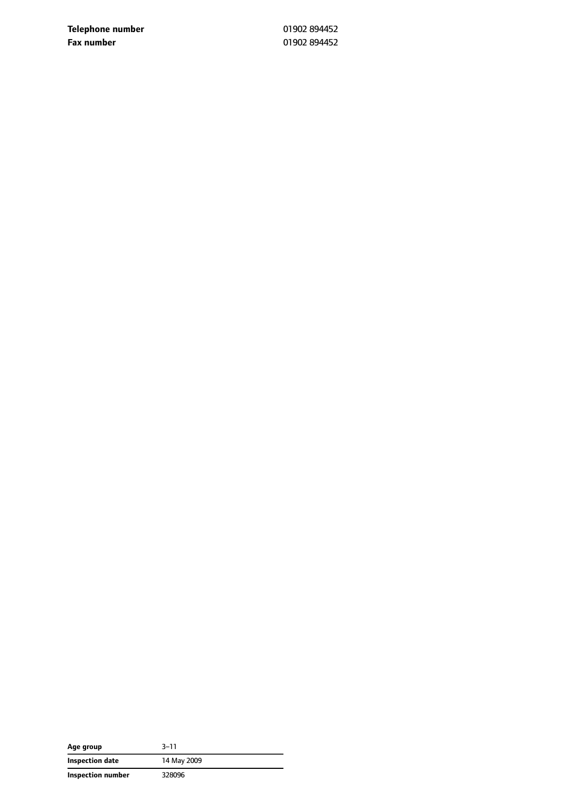**Telephone number** 01902 894452 **Fax number** 01902 894452

| Age group         | $3 - 11$    |
|-------------------|-------------|
| Inspection date   | 14 May 2009 |
| Inspection number | 328096      |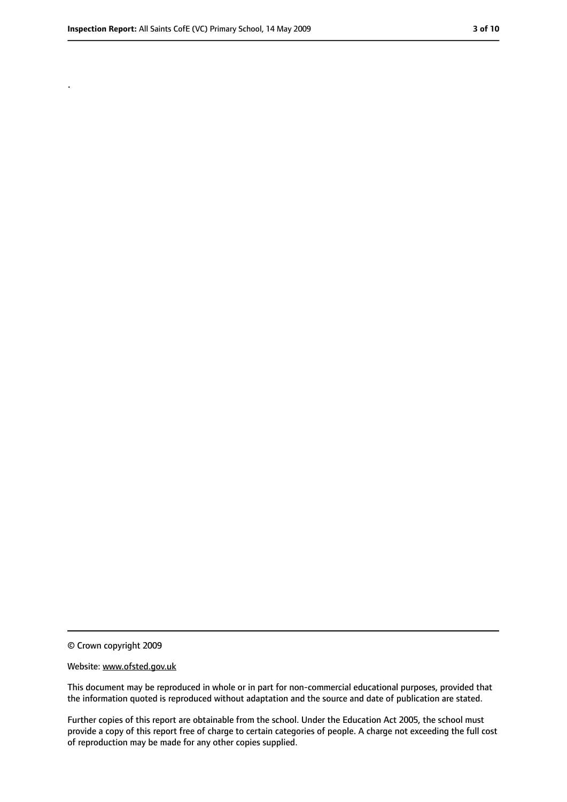.

<sup>©</sup> Crown copyright 2009

Website: www.ofsted.gov.uk

This document may be reproduced in whole or in part for non-commercial educational purposes, provided that the information quoted is reproduced without adaptation and the source and date of publication are stated.

Further copies of this report are obtainable from the school. Under the Education Act 2005, the school must provide a copy of this report free of charge to certain categories of people. A charge not exceeding the full cost of reproduction may be made for any other copies supplied.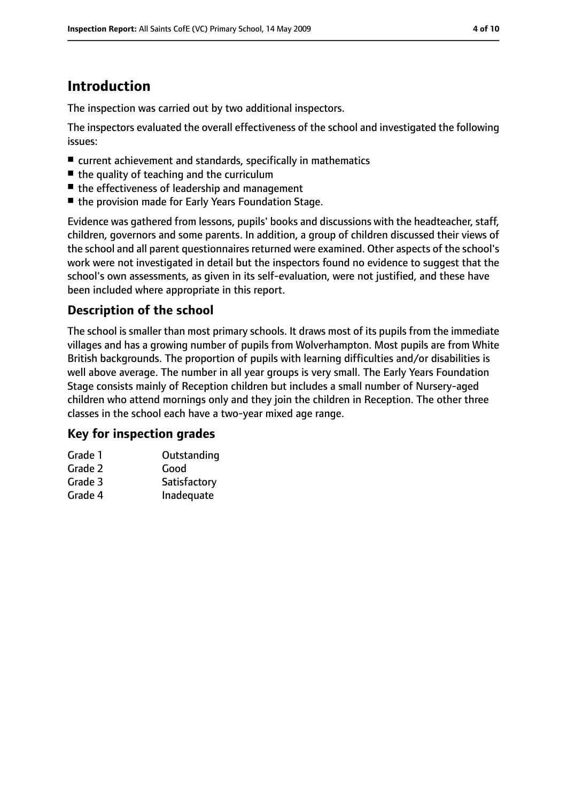# **Introduction**

The inspection was carried out by two additional inspectors.

The inspectors evaluated the overall effectiveness of the school and investigated the following issues:

- current achievement and standards, specifically in mathematics
- the quality of teaching and the curriculum
- the effectiveness of leadership and management
- the provision made for Early Years Foundation Stage.

Evidence was gathered from lessons, pupils' books and discussions with the headteacher, staff, children, governors and some parents. In addition, a group of children discussed their views of the school and all parent questionnaires returned were examined. Other aspects of the school's work were not investigated in detail but the inspectors found no evidence to suggest that the school's own assessments, as given in its self-evaluation, were not justified, and these have been included where appropriate in this report.

### **Description of the school**

The school is smaller than most primary schools. It draws most of its pupils from the immediate villages and has a growing number of pupils from Wolverhampton. Most pupils are from White British backgrounds. The proportion of pupils with learning difficulties and/or disabilities is well above average. The number in all year groups is very small. The Early Years Foundation Stage consists mainly of Reception children but includes a small number of Nursery-aged children who attend mornings only and they join the children in Reception. The other three classes in the school each have a two-year mixed age range.

#### **Key for inspection grades**

| Grade 1 | Outstanding  |
|---------|--------------|
| Grade 2 | Good         |
| Grade 3 | Satisfactory |
| Grade 4 | Inadequate   |
|         |              |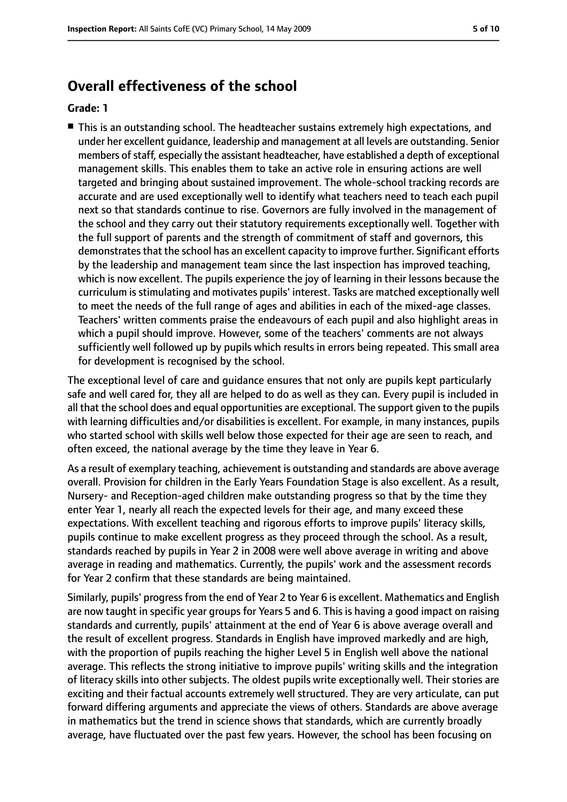# **Overall effectiveness of the school**

#### **Grade: 1**

■ This is an outstanding school. The headteacher sustains extremely high expectations, and under her excellent guidance, leadership and management at all levels are outstanding. Senior members of staff, especially the assistant headteacher, have established a depth of exceptional management skills. This enables them to take an active role in ensuring actions are well targeted and bringing about sustained improvement. The whole-school tracking records are accurate and are used exceptionally well to identify what teachers need to teach each pupil next so that standards continue to rise. Governors are fully involved in the management of the school and they carry out their statutory requirements exceptionally well. Together with the full support of parents and the strength of commitment of staff and governors, this demonstrates that the school has an excellent capacity to improve further. Significant efforts by the leadership and management team since the last inspection has improved teaching, which is now excellent. The pupils experience the joy of learning in their lessons because the curriculum is stimulating and motivates pupils' interest. Tasks are matched exceptionally well to meet the needs of the full range of ages and abilities in each of the mixed-age classes. Teachers' written comments praise the endeavours of each pupil and also highlight areas in which a pupil should improve. However, some of the teachers' comments are not always sufficiently well followed up by pupils which results in errors being repeated. This small area for development is recognised by the school.

The exceptional level of care and guidance ensures that not only are pupils kept particularly safe and well cared for, they all are helped to do as well as they can. Every pupil is included in all that the school does and equal opportunities are exceptional. The support given to the pupils with learning difficulties and/or disabilities is excellent. For example, in many instances, pupils who started school with skills well below those expected for their age are seen to reach, and often exceed, the national average by the time they leave in Year 6.

As a result of exemplary teaching, achievement is outstanding and standards are above average overall. Provision for children in the Early Years Foundation Stage is also excellent. As a result, Nursery- and Reception-aged children make outstanding progress so that by the time they enter Year 1, nearly all reach the expected levels for their age, and many exceed these expectations. With excellent teaching and rigorous efforts to improve pupils' literacy skills, pupils continue to make excellent progress as they proceed through the school. As a result, standards reached by pupils in Year 2 in 2008 were well above average in writing and above average in reading and mathematics. Currently, the pupils' work and the assessment records for Year 2 confirm that these standards are being maintained.

Similarly, pupils' progressfrom the end of Year 2 to Year 6 is excellent. Mathematics and English are now taught in specific year groups for Years 5 and 6. This is having a good impact on raising standards and currently, pupils' attainment at the end of Year 6 is above average overall and the result of excellent progress. Standards in English have improved markedly and are high, with the proportion of pupils reaching the higher Level 5 in English well above the national average. This reflects the strong initiative to improve pupils' writing skills and the integration of literacy skills into other subjects. The oldest pupils write exceptionally well. Their stories are exciting and their factual accounts extremely well structured. They are very articulate, can put forward differing arguments and appreciate the views of others. Standards are above average in mathematics but the trend in science shows that standards, which are currently broadly average, have fluctuated over the past few years. However, the school has been focusing on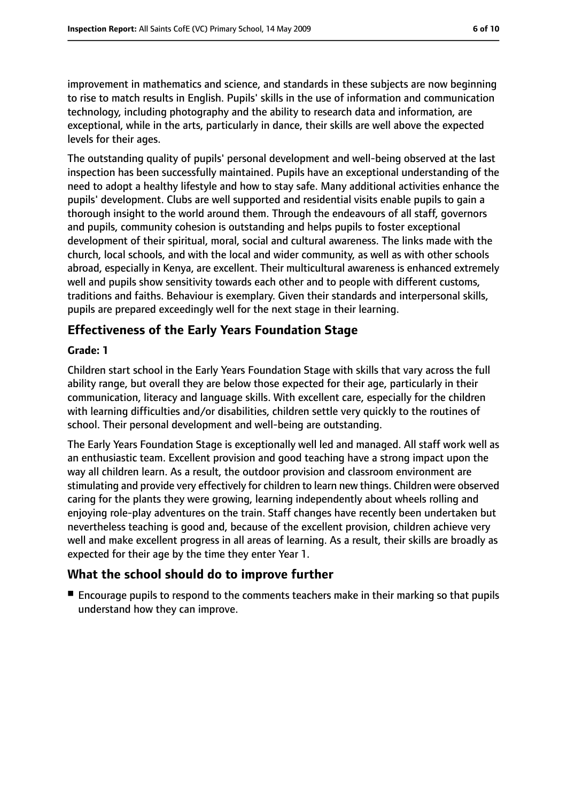improvement in mathematics and science, and standards in these subjects are now beginning to rise to match results in English. Pupils' skills in the use of information and communication technology, including photography and the ability to research data and information, are exceptional, while in the arts, particularly in dance, their skills are well above the expected levels for their ages.

The outstanding quality of pupils' personal development and well-being observed at the last inspection has been successfully maintained. Pupils have an exceptional understanding of the need to adopt a healthy lifestyle and how to stay safe. Many additional activities enhance the pupils' development. Clubs are well supported and residential visits enable pupils to gain a thorough insight to the world around them. Through the endeavours of all staff, governors and pupils, community cohesion is outstanding and helps pupils to foster exceptional development of their spiritual, moral, social and cultural awareness. The links made with the church, local schools, and with the local and wider community, as well as with other schools abroad, especially in Kenya, are excellent. Their multicultural awareness is enhanced extremely well and pupils show sensitivity towards each other and to people with different customs, traditions and faiths. Behaviour is exemplary. Given their standards and interpersonal skills, pupils are prepared exceedingly well for the next stage in their learning.

#### **Effectiveness of the Early Years Foundation Stage**

#### **Grade: 1**

Children start school in the Early Years Foundation Stage with skills that vary across the full ability range, but overall they are below those expected for their age, particularly in their communication, literacy and language skills. With excellent care, especially for the children with learning difficulties and/or disabilities, children settle very quickly to the routines of school. Their personal development and well-being are outstanding.

The Early Years Foundation Stage is exceptionally well led and managed. All staff work well as an enthusiastic team. Excellent provision and good teaching have a strong impact upon the way all children learn. As a result, the outdoor provision and classroom environment are stimulating and provide very effectively for children to learn new things. Children were observed caring for the plants they were growing, learning independently about wheels rolling and enjoying role-play adventures on the train. Staff changes have recently been undertaken but nevertheless teaching is good and, because of the excellent provision, children achieve very well and make excellent progress in all areas of learning. As a result, their skills are broadly as expected for their age by the time they enter Year 1.

#### **What the school should do to improve further**

■ Encourage pupils to respond to the comments teachers make in their marking so that pupils understand how they can improve.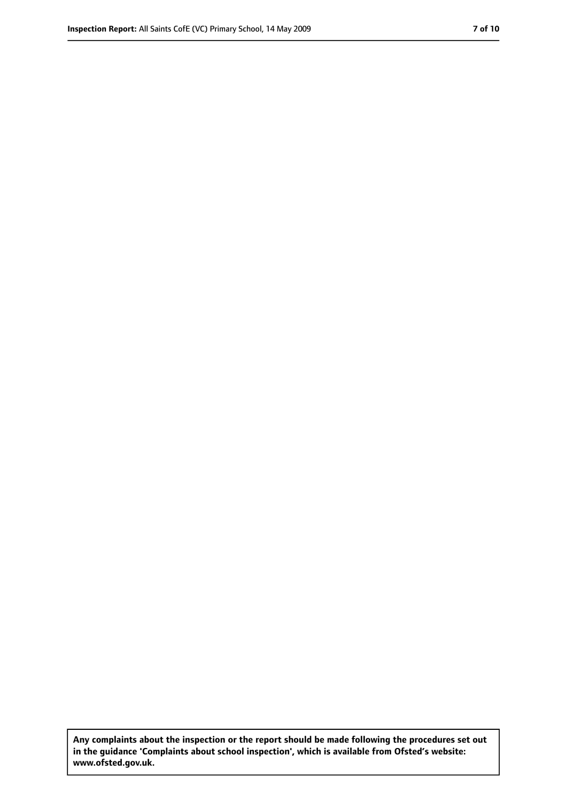**Any complaints about the inspection or the report should be made following the procedures set out in the guidance 'Complaints about school inspection', which is available from Ofsted's website: www.ofsted.gov.uk.**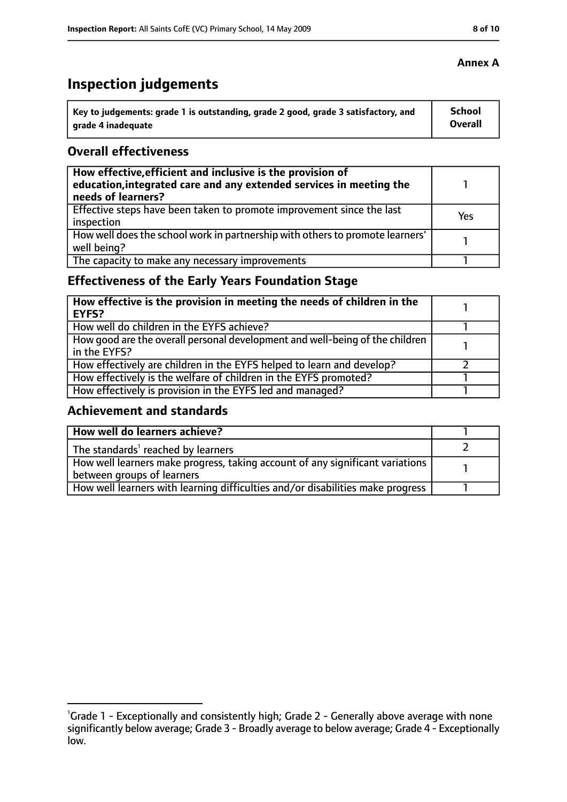# **Inspection judgements**

| Key to judgements: grade 1 is outstanding, grade 2 good, grade 3 satisfactory, and | School  |
|------------------------------------------------------------------------------------|---------|
| arade 4 inadequate                                                                 | Overall |

#### **Overall effectiveness**

| How effective, efficient and inclusive is the provision of<br>education, integrated care and any extended services in meeting the<br>needs of learners? |     |
|---------------------------------------------------------------------------------------------------------------------------------------------------------|-----|
| Effective steps have been taken to promote improvement since the last<br>inspection                                                                     | Yes |
| How well does the school work in partnership with others to promote learners'<br>well being?                                                            |     |
| The capacity to make any necessary improvements                                                                                                         |     |

# **Effectiveness of the Early Years Foundation Stage**

| How effective is the provision in meeting the needs of children in the<br><b>EYFS?</b>       |  |
|----------------------------------------------------------------------------------------------|--|
| How well do children in the EYFS achieve?                                                    |  |
| How good are the overall personal development and well-being of the children<br>in the EYFS? |  |
| How effectively are children in the EYFS helped to learn and develop?                        |  |
| How effectively is the welfare of children in the EYFS promoted?                             |  |
| How effectively is provision in the EYFS led and managed?                                    |  |

#### **Achievement and standards**

| How well do learners achieve?                                                               |  |
|---------------------------------------------------------------------------------------------|--|
| The standards <sup>1</sup> reached by learners                                              |  |
| $\mid$ How well learners make progress, taking account of any significant variations $\mid$ |  |
| between groups of learners                                                                  |  |
| How well learners with learning difficulties and/or disabilities make progress              |  |

#### **Annex A**

<sup>&</sup>lt;sup>1</sup>Grade 1 - Exceptionally and consistently high; Grade 2 - Generally above average with none

significantly below average; Grade 3 - Broadly average to below average; Grade 4 - Exceptionally low.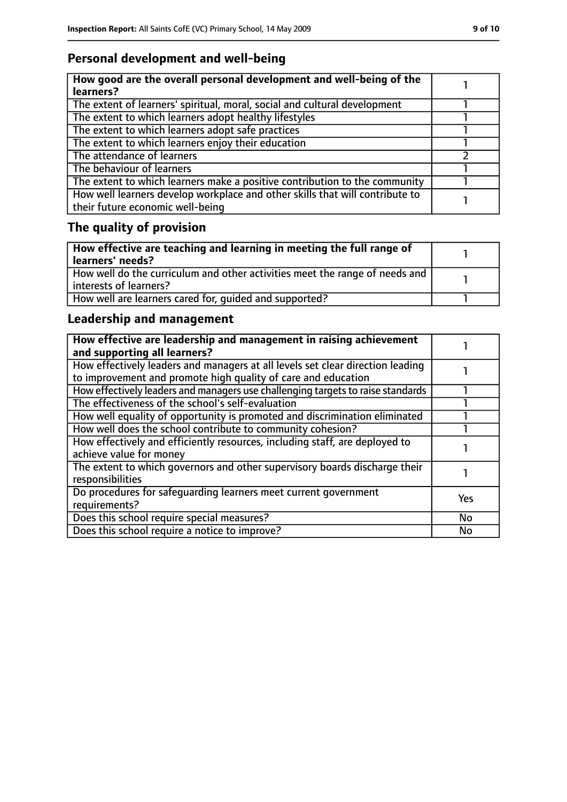# **Personal development and well-being**

| How good are the overall personal development and well-being of the<br>learners?                                 |  |
|------------------------------------------------------------------------------------------------------------------|--|
| The extent of learners' spiritual, moral, social and cultural development                                        |  |
| The extent to which learners adopt healthy lifestyles                                                            |  |
| The extent to which learners adopt safe practices                                                                |  |
| The extent to which learners enjoy their education                                                               |  |
| The attendance of learners                                                                                       |  |
| The behaviour of learners                                                                                        |  |
| The extent to which learners make a positive contribution to the community                                       |  |
| How well learners develop workplace and other skills that will contribute to<br>their future economic well-being |  |

# **The quality of provision**

| $\mid$ How effective are teaching and learning in meeting the full range of<br>  learners' needs?       |  |
|---------------------------------------------------------------------------------------------------------|--|
| How well do the curriculum and other activities meet the range of needs and<br>  interests of learners? |  |
| How well are learners cared for, quided and supported?                                                  |  |

# **Leadership and management**

| How effective are leadership and management in raising achievement<br>and supporting all learners?                                              |     |
|-------------------------------------------------------------------------------------------------------------------------------------------------|-----|
| How effectively leaders and managers at all levels set clear direction leading<br>to improvement and promote high quality of care and education |     |
| How effectively leaders and managers use challenging targets to raise standards                                                                 |     |
| The effectiveness of the school's self-evaluation                                                                                               |     |
| How well equality of opportunity is promoted and discrimination eliminated                                                                      |     |
| How well does the school contribute to community cohesion?                                                                                      |     |
| How effectively and efficiently resources, including staff, are deployed to<br>achieve value for money                                          |     |
| The extent to which governors and other supervisory boards discharge their<br>responsibilities                                                  |     |
| Do procedures for safequarding learners meet current government<br>requirements?                                                                | Yes |
| Does this school require special measures?                                                                                                      | No  |
| Does this school require a notice to improve?                                                                                                   | No  |